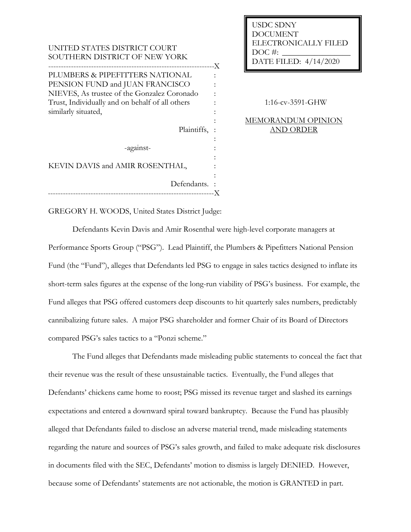UNITED STATES DISTRICT COURT SOUTHERN DISTRICT OF NEW YORK ------------------------------------------------------------------ PLUMBERS & PIPEFITTERS NATIONAL PENSION FUND and JUAN FRANCISCO NIEVES, As trustee of the Gonzalez Coronado Trust, Individually and on behalf of all others similarly situated, Plaintiffs, : -against-KEVIN DAVIS and AMIR ROSENTHAL, Defendants. : ------------------------------------------------------------------ X X : : : : : : : : : : :

USDC SDNY DOCUMENT ELECTRONICALLY FILED  $DOC$  #: DATE FILED: 4/14/2020

1:16-cv-3591-GHW

## MEMORANDUM OPINION AND ORDER

GREGORY H. WOODS, United States District Judge:

Defendants Kevin Davis and Amir Rosenthal were high-level corporate managers at Performance Sports Group ("PSG"). Lead Plaintiff, the Plumbers & Pipefitters National Pension Fund (the "Fund"), alleges that Defendants led PSG to engage in sales tactics designed to inflate its short-term sales figures at the expense of the long-run viability of PSG's business. For example, the Fund alleges that PSG offered customers deep discounts to hit quarterly sales numbers, predictably cannibalizing future sales. A major PSG shareholder and former Chair of its Board of Directors compared PSG's sales tactics to a "Ponzi scheme."

The Fund alleges that Defendants made misleading public statements to conceal the fact that their revenue was the result of these unsustainable tactics. Eventually, the Fund alleges that Defendants' chickens came home to roost; PSG missed its revenue target and slashed its earnings expectations and entered a downward spiral toward bankruptcy. Because the Fund has plausibly alleged that Defendants failed to disclose an adverse material trend, made misleading statements regarding the nature and sources of PSG's sales growth, and failed to make adequate risk disclosures in documents filed with the SEC, Defendants' motion to dismiss is largely DENIED. However, because some of Defendants' statements are not actionable, the motion is GRANTED in part.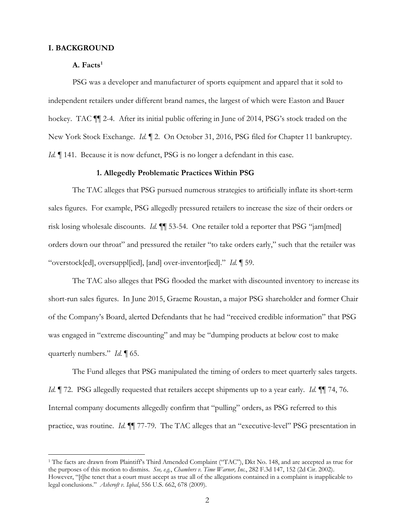# **I. BACKGROUND**

# A. Facts<sup>1</sup>

PSG was a developer and manufacturer of sports equipment and apparel that it sold to independent retailers under different brand names, the largest of which were Easton and Bauer hockey. TAC ¶¶ 2-4. After its initial public offering in June of 2014, PSG's stock traded on the New York Stock Exchange. *Id.* ¶ 2. On October 31, 2016, PSG filed for Chapter 11 bankruptcy. *Id.*  $\blacksquare$  141. Because it is now defunct, PSG is no longer a defendant in this case.

### **1. Allegedly Problematic Practices Within PSG**

The TAC alleges that PSG pursued numerous strategies to artificially inflate its short-term sales figures. For example, PSG allegedly pressured retailers to increase the size of their orders or risk losing wholesale discounts. *Id.* ¶¶ 53-54. One retailer told a reporter that PSG "jam[med] orders down our throat" and pressured the retailer "to take orders early," such that the retailer was "overstock[ed], oversuppl[ied], [and] over-inventor[ied]." *Id.* ¶ 59.

The TAC also alleges that PSG flooded the market with discounted inventory to increase its short-run sales figures. In June 2015, Graeme Roustan, a major PSG shareholder and former Chair of the Company's Board, alerted Defendants that he had "received credible information" that PSG was engaged in "extreme discounting" and may be "dumping products at below cost to make quarterly numbers." *Id.* ¶ 65.

The Fund alleges that PSG manipulated the timing of orders to meet quarterly sales targets. *Id.* ¶ 72. PSG allegedly requested that retailers accept shipments up to a year early. *Id.* ¶¶ 74, 76. Internal company documents allegedly confirm that "pulling" orders, as PSG referred to this practice, was routine. *Id.* ¶¶ 77-79. The TAC alleges that an "executive-level" PSG presentation in

<sup>&</sup>lt;sup>1</sup> The facts are drawn from Plaintiff's Third Amended Complaint ("TAC"), Dkt No. 148, and are accepted as true for the purposes of this motion to dismiss. *See, e.g.*, *Chambers v. Time Warner, Inc.*, 282 F.3d 147, 152 (2d Cir. 2002). However, "[t]he tenet that a court must accept as true all of the allegations contained in a complaint is inapplicable to legal conclusions." *Ashcroft v. Iqbal*, 556 U.S. 662, 678 (2009).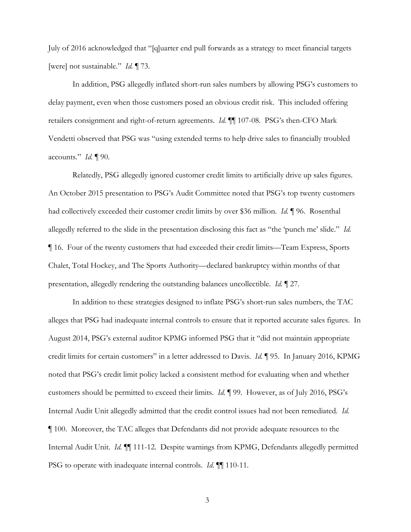July of 2016 acknowledged that "[q]uarter end pull forwards as a strategy to meet financial targets [were] not sustainable." *Id.* ¶ 73.

In addition, PSG allegedly inflated short-run sales numbers by allowing PSG's customers to delay payment, even when those customers posed an obvious credit risk. This included offering retailers consignment and right-of-return agreements. *Id.* ¶¶ 107-08. PSG's then-CFO Mark Vendetti observed that PSG was "using extended terms to help drive sales to financially troubled accounts." *Id.* ¶ 90.

Relatedly, PSG allegedly ignored customer credit limits to artificially drive up sales figures. An October 2015 presentation to PSG's Audit Committee noted that PSG's top twenty customers had collectively exceeded their customer credit limits by over \$36 million. *Id.* ¶ 96. Rosenthal allegedly referred to the slide in the presentation disclosing this fact as "the 'punch me' slide." *Id.* ¶ 16. Four of the twenty customers that had exceeded their credit limits—Team Express, Sports Chalet, Total Hockey, and The Sports Authority—declared bankruptcy within months of that presentation, allegedly rendering the outstanding balances uncollectible. *Id.* ¶ 27.

In addition to these strategies designed to inflate PSG's short-run sales numbers, the TAC alleges that PSG had inadequate internal controls to ensure that it reported accurate sales figures. In August 2014, PSG's external auditor KPMG informed PSG that it "did not maintain appropriate credit limits for certain customers" in a letter addressed to Davis. *Id.* ¶ 95. In January 2016, KPMG noted that PSG's credit limit policy lacked a consistent method for evaluating when and whether customers should be permitted to exceed their limits. *Id.* ¶ 99. However, as of July 2016, PSG's Internal Audit Unit allegedly admitted that the credit control issues had not been remediated. *Id.* ¶ 100. Moreover, the TAC alleges that Defendants did not provide adequate resources to the Internal Audit Unit. *Id.* ¶¶ 111-12. Despite warnings from KPMG, Defendants allegedly permitted PSG to operate with inadequate internal controls. *Id.* ¶¶ 110-11.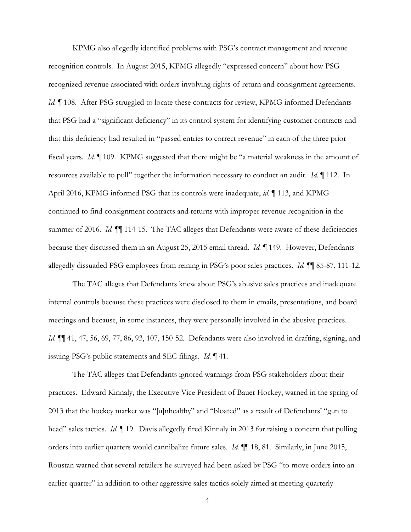KPMG also allegedly identified problems with PSG's contract management and revenue recognition controls. In August 2015, KPMG allegedly "expressed concern" about how PSG recognized revenue associated with orders involving rights-of-return and consignment agreements. *Id.* If 108. After PSG struggled to locate these contracts for review, KPMG informed Defendants that PSG had a "significant deficiency" in its control system for identifying customer contracts and that this deficiency had resulted in "passed entries to correct revenue" in each of the three prior fiscal years. *Id.* ¶ 109. KPMG suggested that there might be "a material weakness in the amount of resources available to pull" together the information necessary to conduct an audit. *Id.* ¶ 112. In April 2016, KPMG informed PSG that its controls were inadequate, *id.* ¶ 113, and KPMG continued to find consignment contracts and returns with improper revenue recognition in the summer of 2016. *Id.*  $\P$  114-15. The TAC alleges that Defendants were aware of these deficiencies because they discussed them in an August 25, 2015 email thread. *Id.* ¶ 149. However, Defendants allegedly dissuaded PSG employees from reining in PSG's poor sales practices. *Id.* ¶¶ 85-87, 111-12.

The TAC alleges that Defendants knew about PSG's abusive sales practices and inadequate internal controls because these practices were disclosed to them in emails, presentations, and board meetings and because, in some instances, they were personally involved in the abusive practices. *Id.* ¶¶ 41, 47, 56, 69, 77, 86, 93, 107, 150-52. Defendants were also involved in drafting, signing, and issuing PSG's public statements and SEC filings. *Id.* ¶ 41.

The TAC alleges that Defendants ignored warnings from PSG stakeholders about their practices. Edward Kinnaly, the Executive Vice President of Bauer Hockey, warned in the spring of 2013 that the hockey market was "[u]nhealthy" and "bloated" as a result of Defendants' "gun to head" sales tactics. *Id.* ¶ 19. Davis allegedly fired Kinnaly in 2013 for raising a concern that pulling orders into earlier quarters would cannibalize future sales. *Id.* ¶¶ 18, 81. Similarly, in June 2015, Roustan warned that several retailers he surveyed had been asked by PSG "to move orders into an earlier quarter" in addition to other aggressive sales tactics solely aimed at meeting quarterly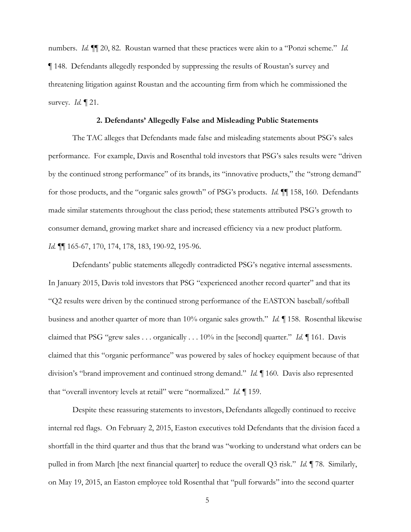numbers. *Id.* ¶¶ 20, 82. Roustan warned that these practices were akin to a "Ponzi scheme." *Id.* ¶ 148. Defendants allegedly responded by suppressing the results of Roustan's survey and threatening litigation against Roustan and the accounting firm from which he commissioned the survey. *Id.* ¶ 21.

#### **2. Defendants' Allegedly False and Misleading Public Statements**

The TAC alleges that Defendants made false and misleading statements about PSG's sales performance. For example, Davis and Rosenthal told investors that PSG's sales results were "driven by the continued strong performance" of its brands, its "innovative products," the "strong demand" for those products, and the "organic sales growth" of PSG's products. *Id.* ¶¶ 158, 160. Defendants made similar statements throughout the class period; these statements attributed PSG's growth to consumer demand, growing market share and increased efficiency via a new product platform. *Id.* ¶¶ 165-67, 170, 174, 178, 183, 190-92, 195-96.

Defendants' public statements allegedly contradicted PSG's negative internal assessments. In January 2015, Davis told investors that PSG "experienced another record quarter" and that its "Q2 results were driven by the continued strong performance of the EASTON baseball/softball business and another quarter of more than 10% organic sales growth." *Id.* ¶ 158. Rosenthal likewise claimed that PSG "grew sales . . . organically . . . 10% in the [second] quarter." *Id.* ¶ 161. Davis claimed that this "organic performance" was powered by sales of hockey equipment because of that division's "brand improvement and continued strong demand." *Id.* ¶ 160. Davis also represented that "overall inventory levels at retail" were "normalized." *Id.* ¶ 159.

Despite these reassuring statements to investors, Defendants allegedly continued to receive internal red flags. On February 2, 2015, Easton executives told Defendants that the division faced a shortfall in the third quarter and thus that the brand was "working to understand what orders can be pulled in from March [the next financial quarter] to reduce the overall Q3 risk." *Id.* ¶ 78. Similarly, on May 19, 2015, an Easton employee told Rosenthal that "pull forwards" into the second quarter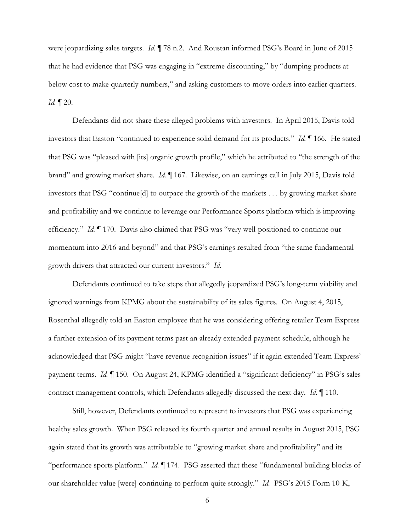were jeopardizing sales targets. *Id.* ¶ 78 n.2. And Roustan informed PSG's Board in June of 2015 that he had evidence that PSG was engaging in "extreme discounting," by "dumping products at below cost to make quarterly numbers," and asking customers to move orders into earlier quarters. *Id.* ¶ 20.

Defendants did not share these alleged problems with investors. In April 2015, Davis told investors that Easton "continued to experience solid demand for its products." *Id.* ¶ 166. He stated that PSG was "pleased with [its] organic growth profile," which he attributed to "the strength of the brand" and growing market share. *Id.* ¶ 167. Likewise, on an earnings call in July 2015, Davis told investors that PSG "continue[d] to outpace the growth of the markets . . . by growing market share and profitability and we continue to leverage our Performance Sports platform which is improving efficiency." *Id.* ¶ 170. Davis also claimed that PSG was "very well-positioned to continue our momentum into 2016 and beyond" and that PSG's earnings resulted from "the same fundamental growth drivers that attracted our current investors." *Id.*

Defendants continued to take steps that allegedly jeopardized PSG's long-term viability and ignored warnings from KPMG about the sustainability of its sales figures. On August 4, 2015, Rosenthal allegedly told an Easton employee that he was considering offering retailer Team Express a further extension of its payment terms past an already extended payment schedule, although he acknowledged that PSG might "have revenue recognition issues" if it again extended Team Express' payment terms. *Id.* ¶ 150. On August 24, KPMG identified a "significant deficiency" in PSG's sales contract management controls, which Defendants allegedly discussed the next day. *Id.* ¶ 110.

Still, however, Defendants continued to represent to investors that PSG was experiencing healthy sales growth. When PSG released its fourth quarter and annual results in August 2015, PSG again stated that its growth was attributable to "growing market share and profitability" and its "performance sports platform." *Id.* ¶ 174. PSG asserted that these "fundamental building blocks of our shareholder value [were] continuing to perform quite strongly." *Id.* PSG's 2015 Form 10-K,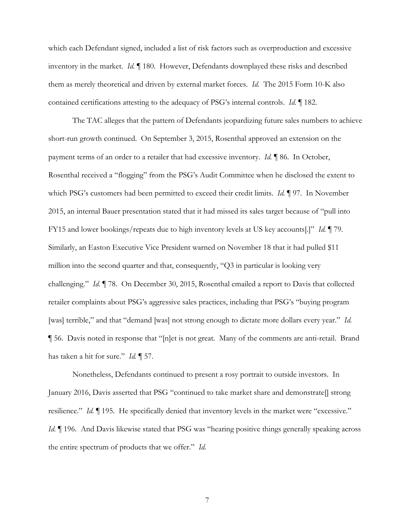which each Defendant signed, included a list of risk factors such as overproduction and excessive inventory in the market. *Id.* ¶ 180. However, Defendants downplayed these risks and described them as merely theoretical and driven by external market forces. *Id.* The 2015 Form 10-K also contained certifications attesting to the adequacy of PSG's internal controls. *Id.* ¶ 182.

The TAC alleges that the pattern of Defendants jeopardizing future sales numbers to achieve short-run growth continued. On September 3, 2015, Rosenthal approved an extension on the payment terms of an order to a retailer that had excessive inventory. *Id.* ¶ 86. In October, Rosenthal received a "flogging" from the PSG's Audit Committee when he disclosed the extent to which PSG's customers had been permitted to exceed their credit limits. *Id.* ¶ 97. In November 2015, an internal Bauer presentation stated that it had missed its sales target because of "pull into FY15 and lower bookings/repeats due to high inventory levels at US key accounts[.]" *Id.* ¶ 79. Similarly, an Easton Executive Vice President warned on November 18 that it had pulled \$11 million into the second quarter and that, consequently, "Q3 in particular is looking very challenging." *Id.* ¶ 78. On December 30, 2015, Rosenthal emailed a report to Davis that collected retailer complaints about PSG's aggressive sales practices, including that PSG's "buying program [was] terrible," and that "demand [was] not strong enough to dictate more dollars every year." *Id.* ¶ 56. Davis noted in response that "[n]et is not great. Many of the comments are anti-retail. Brand has taken a hit for sure." *Id.* ¶ 57.

Nonetheless, Defendants continued to present a rosy portrait to outside investors. In January 2016, Davis asserted that PSG "continued to take market share and demonstrate[] strong resilience." *Id.* ¶ 195. He specifically denied that inventory levels in the market were "excessive." *Id.*  $\blacksquare$  196. And Davis likewise stated that PSG was "hearing positive things generally speaking across the entire spectrum of products that we offer." *Id.*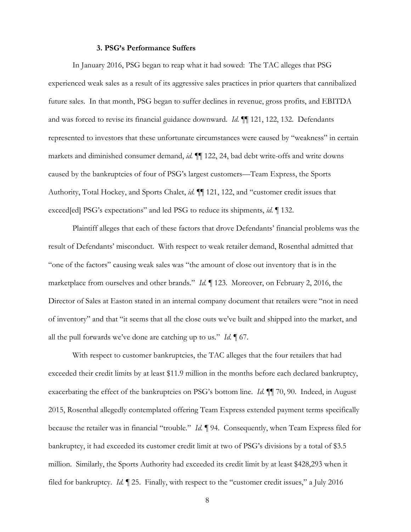### **3. PSG's Performance Suffers**

In January 2016, PSG began to reap what it had sowed: The TAC alleges that PSG experienced weak sales as a result of its aggressive sales practices in prior quarters that cannibalized future sales. In that month, PSG began to suffer declines in revenue, gross profits, and EBITDA and was forced to revise its financial guidance downward. *Id.* ¶¶ 121, 122, 132. Defendants represented to investors that these unfortunate circumstances were caused by "weakness" in certain markets and diminished consumer demand, *id.* ¶¶ 122, 24, bad debt write-offs and write downs caused by the bankruptcies of four of PSG's largest customers—Team Express, the Sports Authority, Total Hockey, and Sports Chalet, *id.* ¶¶ 121, 122, and "customer credit issues that exceed[ed] PSG's expectations" and led PSG to reduce its shipments, *id.* ¶ 132.

Plaintiff alleges that each of these factors that drove Defendants' financial problems was the result of Defendants' misconduct. With respect to weak retailer demand, Rosenthal admitted that "one of the factors" causing weak sales was "the amount of close out inventory that is in the marketplace from ourselves and other brands." *Id.* ¶ 123. Moreover, on February 2, 2016, the Director of Sales at Easton stated in an internal company document that retailers were "not in need of inventory" and that "it seems that all the close outs we've built and shipped into the market, and all the pull forwards we've done are catching up to us." *Id.* ¶ 67.

With respect to customer bankruptcies, the TAC alleges that the four retailers that had exceeded their credit limits by at least \$11.9 million in the months before each declared bankruptcy, exacerbating the effect of the bankruptcies on PSG's bottom line. *Id.* ¶¶ 70, 90. Indeed, in August 2015, Rosenthal allegedly contemplated offering Team Express extended payment terms specifically because the retailer was in financial "trouble." *Id.* ¶ 94. Consequently, when Team Express filed for bankruptcy, it had exceeded its customer credit limit at two of PSG's divisions by a total of \$3.5 million. Similarly, the Sports Authority had exceeded its credit limit by at least \$428,293 when it filed for bankruptcy. *Id.* ¶ 25. Finally, with respect to the "customer credit issues," a July 2016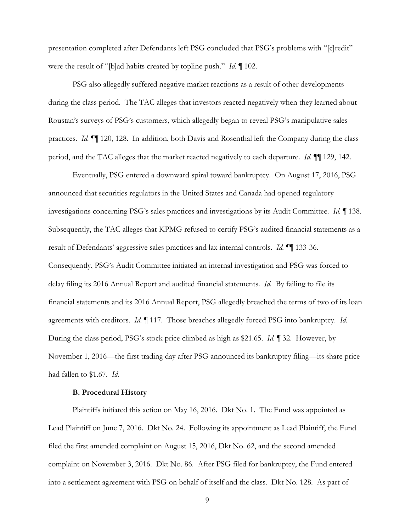presentation completed after Defendants left PSG concluded that PSG's problems with "[c]redit" were the result of "[b]ad habits created by topline push." *Id.* ¶ 102.

PSG also allegedly suffered negative market reactions as a result of other developments during the class period. The TAC alleges that investors reacted negatively when they learned about Roustan's surveys of PSG's customers, which allegedly began to reveal PSG's manipulative sales practices. *Id.* ¶¶ 120, 128. In addition, both Davis and Rosenthal left the Company during the class period, and the TAC alleges that the market reacted negatively to each departure. *Id.* ¶¶ 129, 142.

Eventually, PSG entered a downward spiral toward bankruptcy. On August 17, 2016, PSG announced that securities regulators in the United States and Canada had opened regulatory investigations concerning PSG's sales practices and investigations by its Audit Committee. *Id.* ¶ 138. Subsequently, the TAC alleges that KPMG refused to certify PSG's audited financial statements as a result of Defendants' aggressive sales practices and lax internal controls. *Id.* ¶¶ 133-36. Consequently, PSG's Audit Committee initiated an internal investigation and PSG was forced to delay filing its 2016 Annual Report and audited financial statements. *Id.* By failing to file its financial statements and its 2016 Annual Report, PSG allegedly breached the terms of two of its loan agreements with creditors. *Id.* ¶ 117. Those breaches allegedly forced PSG into bankruptcy. *Id.* During the class period, PSG's stock price climbed as high as \$21.65. *Id.* ¶ 32. However, by November 1, 2016—the first trading day after PSG announced its bankruptcy filing—its share price had fallen to \$1.67. *Id.*

### **B. Procedural History**

Plaintiffs initiated this action on May 16, 2016. Dkt No. 1. The Fund was appointed as Lead Plaintiff on June 7, 2016. Dkt No. 24. Following its appointment as Lead Plaintiff, the Fund filed the first amended complaint on August 15, 2016, Dkt No. 62, and the second amended complaint on November 3, 2016. Dkt No. 86. After PSG filed for bankruptcy, the Fund entered into a settlement agreement with PSG on behalf of itself and the class. Dkt No. 128. As part of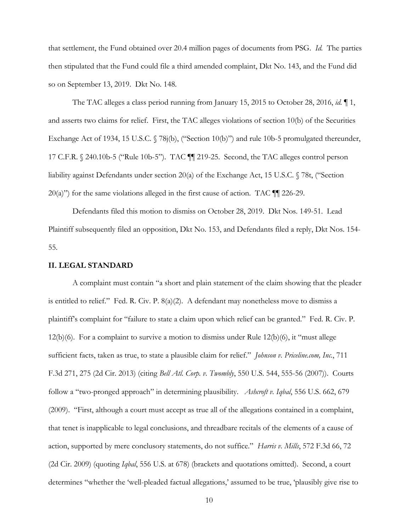that settlement, the Fund obtained over 20.4 million pages of documents from PSG. *Id.* The parties then stipulated that the Fund could file a third amended complaint, Dkt No. 143, and the Fund did so on September 13, 2019. Dkt No. 148.

The TAC alleges a class period running from January 15, 2015 to October 28, 2016, *id.* ¶ 1, and asserts two claims for relief. First, the TAC alleges violations of section 10(b) of the Securities Exchange Act of 1934, 15 U.S.C. § 78j(b), ("Section 10(b)") and rule 10b-5 promulgated thereunder, 17 C.F.R. § 240.10b-5 ("Rule 10b-5"). TAC ¶¶ 219-25. Second, the TAC alleges control person liability against Defendants under section 20(a) of the Exchange Act, 15 U.S.C. § 78t, ("Section  $20(a)$ ") for the same violations alleged in the first cause of action. TAC  $\P$  226-29.

Defendants filed this motion to dismiss on October 28, 2019. Dkt Nos. 149-51. Lead Plaintiff subsequently filed an opposition, Dkt No. 153, and Defendants filed a reply, Dkt Nos. 154- 55.

## **II. LEGAL STANDARD**

A complaint must contain "a short and plain statement of the claim showing that the pleader is entitled to relief." Fed. R. Civ. P.  $8(a)(2)$ . A defendant may nonetheless move to dismiss a plaintiff's complaint for "failure to state a claim upon which relief can be granted." Fed. R. Civ. P.  $12(b)(6)$ . For a complaint to survive a motion to dismiss under Rule  $12(b)(6)$ , it "must allege sufficient facts, taken as true, to state a plausible claim for relief." *Johnson v. Priceline.com, Inc.*, 711 F.3d 271, 275 (2d Cir. 2013) (citing *Bell Atl. Corp. v. Twombly*, 550 U.S. 544, 555-56 (2007)). Courts follow a "two-pronged approach" in determining plausibility. *Ashcroft v. Iqbal*, 556 U.S. 662, 679 (2009). "First, although a court must accept as true all of the allegations contained in a complaint, that tenet is inapplicable to legal conclusions, and threadbare recitals of the elements of a cause of action, supported by mere conclusory statements, do not suffice." *Harris v. Mills*, 572 F.3d 66, 72 (2d Cir. 2009) (quoting *Iqbal*, 556 U.S. at 678) (brackets and quotations omitted). Second, a court determines "whether the 'well-pleaded factual allegations,' assumed to be true, 'plausibly give rise to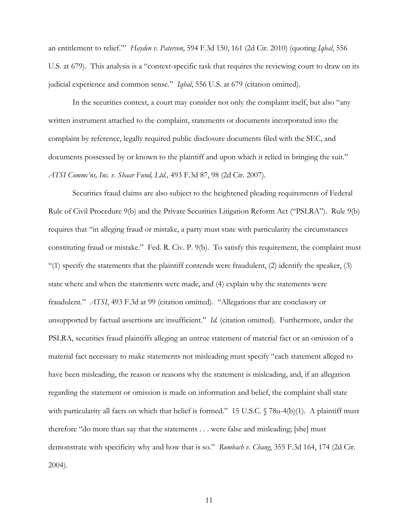an entitlement to relief.'" *Hayden v. Paterson*, 594 F.3d 150, 161 (2d Cir. 2010) (quoting *Iqbal*, 556 U.S. at 679). This analysis is a "context-specific task that requires the reviewing court to draw on its judicial experience and common sense." *Iqbal*, 556 U.S. at 679 (citation omitted).

In the securities context, a court may consider not only the complaint itself, but also "any written instrument attached to the complaint, statements or documents incorporated into the complaint by reference, legally required public disclosure documents filed with the SEC, and documents possessed by or known to the plaintiff and upon which it relied in bringing the suit." *ATSI Commc'ns, Inc. v. Shaar Fund, Ltd.,* 493 F.3d 87, 98 (2d Cir. 2007).

Securities fraud claims are also subject to the heightened pleading requirements of Federal Rule of Civil Procedure 9(b) and the Private Securities Litigation Reform Act ("PSLRA"). Rule 9(b) requires that "in alleging fraud or mistake, a party must state with particularity the circumstances constituting fraud or mistake." Fed. R. Civ. P. 9(b). To satisfy this requirement, the complaint must "(1) specify the statements that the plaintiff contends were fraudulent, (2) identify the speaker, (3) state where and when the statements were made, and (4) explain why the statements were fraudulent." *ATSI*, 493 F.3d at 99 (citation omitted). "Allegations that are conclusory or unsupported by factual assertions are insufficient." *Id.* (citation omitted). Furthermore, under the PSLRA, securities fraud plaintiffs alleging an untrue statement of material fact or an omission of a material fact necessary to make statements not misleading must specify "each statement alleged to have been misleading, the reason or reasons why the statement is misleading, and, if an allegation regarding the statement or omission is made on information and belief, the complaint shall state with particularity all facts on which that belief is formed." 15 U.S.C. § 78u-4(b)(1). A plaintiff must therefore "do more than say that the statements . . . were false and misleading; [she] must demonstrate with specificity why and how that is so." *Rombach v. Chang*, 355 F.3d 164, 174 (2d Cir. 2004).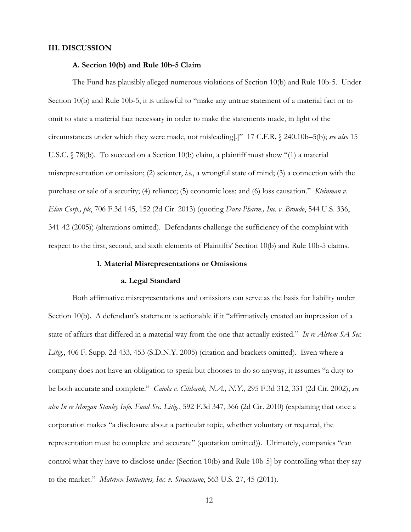### **III. DISCUSSION**

### **A. Section 10(b) and Rule 10b-5 Claim**

The Fund has plausibly alleged numerous violations of Section 10(b) and Rule 10b-5. Under Section 10(b) and Rule 10b-5, it is unlawful to "make any untrue statement of a material fact or to omit to state a material fact necessary in order to make the statements made, in light of the circumstances under which they were made, not misleading[.]" 17 C.F.R. § 240.10b–5(b); *see also* 15 U.S.C. § 78j(b). To succeed on a Section 10(b) claim, a plaintiff must show "(1) a material misrepresentation or omission; (2) scienter, *i.e.*, a wrongful state of mind; (3) a connection with the purchase or sale of a security; (4) reliance; (5) economic loss; and (6) loss causation." *Kleinman v. Elan Corp., plc*, 706 F.3d 145, 152 (2d Cir. 2013) (quoting *Dura Pharm., Inc. v. Broudo*, 544 U.S. 336, 341-42 (2005)) (alterations omitted). Defendants challenge the sufficiency of the complaint with respect to the first, second, and sixth elements of Plaintiffs' Section 10(b) and Rule 10b-5 claims.

### **1. Material Misrepresentations or Omissions**

# **a. Legal Standard**

Both affirmative misrepresentations and omissions can serve as the basis for liability under Section 10(b). A defendant's statement is actionable if it "affirmatively created an impression of a state of affairs that differed in a material way from the one that actually existed." *In re Alstom SA Sec. Litig.*, 406 F. Supp. 2d 433, 453 (S.D.N.Y. 2005) (citation and brackets omitted). Even where a company does not have an obligation to speak but chooses to do so anyway, it assumes "a duty to be both accurate and complete." *Caiola v. Citibank, N.A., N.Y.*, 295 F.3d 312, 331 (2d Cir. 2002); *see also In re Morgan Stanley Info. Fund Sec. Litig.*, 592 F.3d 347, 366 (2d Cir. 2010) (explaining that once a corporation makes "a disclosure about a particular topic, whether voluntary or required, the representation must be complete and accurate" (quotation omitted)). Ultimately, companies "can control what they have to disclose under [Section 10(b) and Rule 10b-5] by controlling what they say to the market." *Matrixx Initiatives, Inc. v. Siracusano*, 563 U.S. 27, 45 (2011).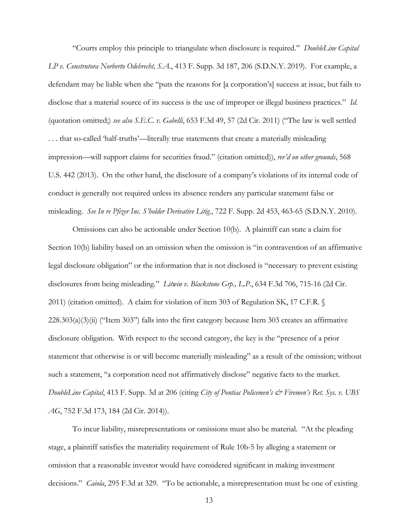"Courts employ this principle to triangulate when disclosure is required." *DoubleLine Capital LP v. Construtora Norberto Odebrecht, S.A.*, 413 F. Supp. 3d 187, 206 (S.D.N.Y. 2019). For example, a defendant may be liable when she "puts the reasons for [a corporation's] success at issue, but fails to disclose that a material source of its success is the use of improper or illegal business practices." *Id.* (quotation omitted;) *see also S.E.C. v. Gabelli*, 653 F.3d 49, 57 (2d Cir. 2011) ("The law is well settled . . . that so-called 'half-truths'—literally true statements that create a materially misleading impression—will support claims for securities fraud." (citation omitted)), *rev'd on other grounds*, 568 U.S. 442 (2013). On the other hand, the disclosure of a company's violations of its internal code of conduct is generally not required unless its absence renders any particular statement false or misleading. *See In re Pfizer Inc. S'holder Derivative Litig.*, 722 F. Supp. 2d 453, 463-65 (S.D.N.Y. 2010).

Omissions can also be actionable under Section 10(b). A plaintiff can state a claim for Section 10(b) liability based on an omission when the omission is "in contravention of an affirmative legal disclosure obligation" or the information that is not disclosed is "necessary to prevent existing disclosures from being misleading." *Litwin v. Blackstone Grp., L.P.*, 634 F.3d 706, 715-16 (2d Cir. 2011) (citation omitted). A claim for violation of item 303 of Regulation SK, 17 C.F.R. §  $228.303(a)(3)(ii)$  ("Item 303") falls into the first category because Item 303 creates an affirmative disclosure obligation. With respect to the second category, the key is the "presence of a prior statement that otherwise is or will become materially misleading" as a result of the omission; without such a statement, "a corporation need not affirmatively disclose" negative facts to the market. *DoubleLine Capital*, 413 F. Supp. 3d at 206 (citing *City of Pontiac Policemen's & Firemen's Ret. Sys. v. UBS AG*, 752 F.3d 173, 184 (2d Cir. 2014)).

To incur liability, misrepresentations or omissions must also be material. "At the pleading stage, a plaintiff satisfies the materiality requirement of Rule 10b-5 by alleging a statement or omission that a reasonable investor would have considered significant in making investment decisions." *Caiola*, 295 F.3d at 329. "To be actionable, a misrepresentation must be one of existing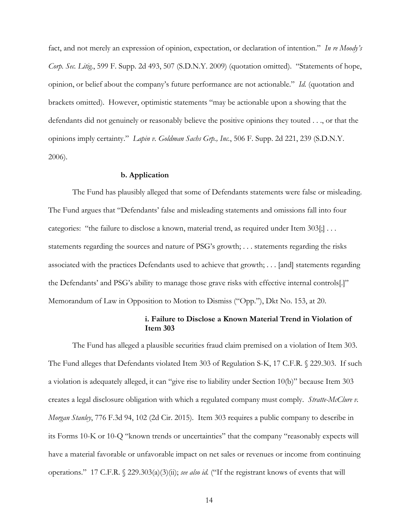fact, and not merely an expression of opinion, expectation, or declaration of intention." *In re Moody's Corp. Sec. Litig.*, 599 F. Supp. 2d 493, 507 (S.D.N.Y. 2009) (quotation omitted). "Statements of hope, opinion, or belief about the company's future performance are not actionable." *Id.* (quotation and brackets omitted). However, optimistic statements "may be actionable upon a showing that the defendants did not genuinely or reasonably believe the positive opinions they touted . . ., or that the opinions imply certainty." *Lapin v. Goldman Sachs Grp., Inc.*, 506 F. Supp. 2d 221, 239 (S.D.N.Y. 2006).

### **b. Application**

The Fund has plausibly alleged that some of Defendants statements were false or misleading. The Fund argues that "Defendants' false and misleading statements and omissions fall into four categories: "the failure to disclose a known, material trend, as required under Item 303[;] . . . statements regarding the sources and nature of PSG's growth; . . . statements regarding the risks associated with the practices Defendants used to achieve that growth; . . . [and] statements regarding the Defendants' and PSG's ability to manage those grave risks with effective internal controls[.]" Memorandum of Law in Opposition to Motion to Dismiss ("Opp."), Dkt No. 153, at 20.

# **i. Failure to Disclose a Known Material Trend in Violation of Item 303**

The Fund has alleged a plausible securities fraud claim premised on a violation of Item 303. The Fund alleges that Defendants violated Item 303 of Regulation S-K, 17 C.F.R. § 229.303. If such a violation is adequately alleged, it can "give rise to liability under Section 10(b)" because Item 303 creates a legal disclosure obligation with which a regulated company must comply. *Stratte-McClure v. Morgan Stanley*, 776 F.3d 94, 102 (2d Cir. 2015). Item 303 requires a public company to describe in its Forms 10-K or 10-Q "known trends or uncertainties" that the company "reasonably expects will have a material favorable or unfavorable impact on net sales or revenues or income from continuing operations." 17 C.F.R. § 229.303(a)(3)(ii); *see also id.* ("If the registrant knows of events that will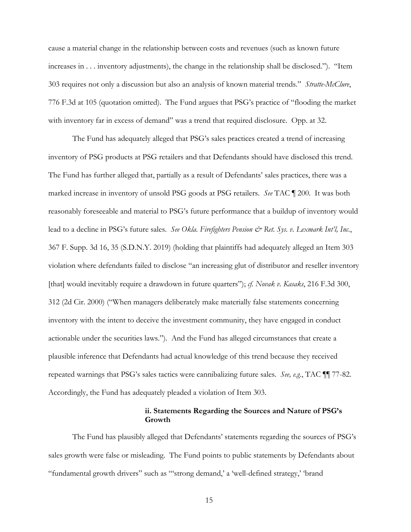cause a material change in the relationship between costs and revenues (such as known future increases in . . . inventory adjustments), the change in the relationship shall be disclosed."). "Item 303 requires not only a discussion but also an analysis of known material trends." *Stratte-McClure*, 776 F.3d at 105 (quotation omitted). The Fund argues that PSG's practice of "flooding the market with inventory far in excess of demand" was a trend that required disclosure. Opp. at 32.

The Fund has adequately alleged that PSG's sales practices created a trend of increasing inventory of PSG products at PSG retailers and that Defendants should have disclosed this trend. The Fund has further alleged that, partially as a result of Defendants' sales practices, there was a marked increase in inventory of unsold PSG goods at PSG retailers. *See* TAC ¶ 200. It was both reasonably foreseeable and material to PSG's future performance that a buildup of inventory would lead to a decline in PSG's future sales. *See Okla. Firefighters Pension & Ret. Sys. v. Lexmark Int'l, Inc.*, 367 F. Supp. 3d 16, 35 (S.D.N.Y. 2019) (holding that plaintiffs had adequately alleged an Item 303 violation where defendants failed to disclose "an increasing glut of distributor and reseller inventory [that] would inevitably require a drawdown in future quarters"); *cf. Novak v. Kasaks*, 216 F.3d 300, 312 (2d Cir. 2000) ("When managers deliberately make materially false statements concerning inventory with the intent to deceive the investment community, they have engaged in conduct actionable under the securities laws."). And the Fund has alleged circumstances that create a plausible inference that Defendants had actual knowledge of this trend because they received repeated warnings that PSG's sales tactics were cannibalizing future sales. *See, e.g.*, TAC ¶¶ 77-82. Accordingly, the Fund has adequately pleaded a violation of Item 303.

# **ii. Statements Regarding the Sources and Nature of PSG's Growth**

The Fund has plausibly alleged that Defendants' statements regarding the sources of PSG's sales growth were false or misleading. The Fund points to public statements by Defendants about "fundamental growth drivers" such as "'strong demand,' a 'well-defined strategy,' 'brand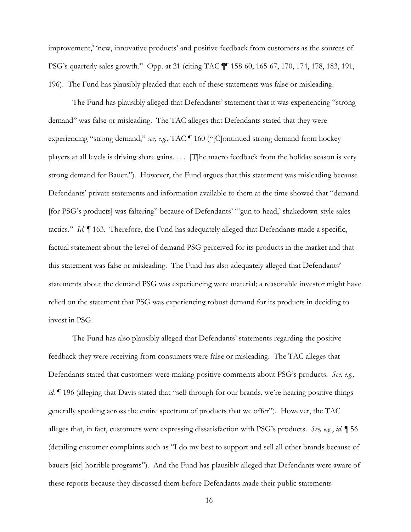improvement,' 'new, innovative products' and positive feedback from customers as the sources of PSG's quarterly sales growth." Opp. at 21 (citing TAC ¶¶ 158-60, 165-67, 170, 174, 178, 183, 191, 196). The Fund has plausibly pleaded that each of these statements was false or misleading.

The Fund has plausibly alleged that Defendants' statement that it was experiencing "strong demand" was false or misleading. The TAC alleges that Defendants stated that they were experiencing "strong demand," *see, e.g.*, TAC ¶ 160 ("[C]ontinued strong demand from hockey players at all levels is driving share gains. . . . [T]he macro feedback from the holiday season is very strong demand for Bauer."). However, the Fund argues that this statement was misleading because Defendants' private statements and information available to them at the time showed that "demand [for PSG's products] was faltering" because of Defendants' "'gun to head,' shakedown-style sales tactics." *Id.* ¶ 163. Therefore, the Fund has adequately alleged that Defendants made a specific, factual statement about the level of demand PSG perceived for its products in the market and that this statement was false or misleading. The Fund has also adequately alleged that Defendants' statements about the demand PSG was experiencing were material; a reasonable investor might have relied on the statement that PSG was experiencing robust demand for its products in deciding to invest in PSG.

The Fund has also plausibly alleged that Defendants' statements regarding the positive feedback they were receiving from consumers were false or misleading. The TAC alleges that Defendants stated that customers were making positive comments about PSG's products. *See, e.g.*, *id.*  $\parallel$  196 (alleging that Davis stated that "sell-through for our brands, we're hearing positive things generally speaking across the entire spectrum of products that we offer"). However, the TAC alleges that, in fact, customers were expressing dissatisfaction with PSG's products. *See, e.g.*, *id.* ¶ 56 (detailing customer complaints such as "I do my best to support and sell all other brands because of bauers [sic] horrible programs"). And the Fund has plausibly alleged that Defendants were aware of these reports because they discussed them before Defendants made their public statements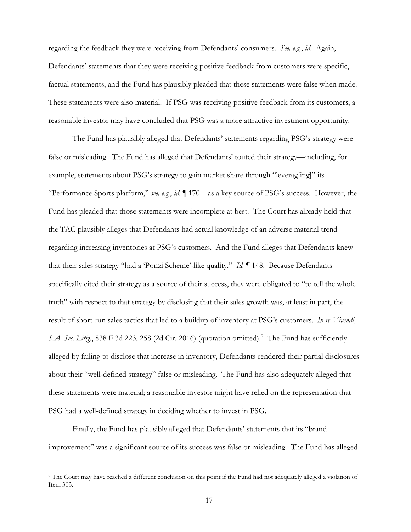regarding the feedback they were receiving from Defendants' consumers. *See, e.g.*, *id.* Again, Defendants' statements that they were receiving positive feedback from customers were specific, factual statements, and the Fund has plausibly pleaded that these statements were false when made. These statements were also material. If PSG was receiving positive feedback from its customers, a reasonable investor may have concluded that PSG was a more attractive investment opportunity.

The Fund has plausibly alleged that Defendants' statements regarding PSG's strategy were false or misleading. The Fund has alleged that Defendants' touted their strategy—including, for example, statements about PSG's strategy to gain market share through "leverag[ing]" its "Performance Sports platform," *see, e.g.*, *id.* ¶ 170—as a key source of PSG's success. However, the Fund has pleaded that those statements were incomplete at best. The Court has already held that the TAC plausibly alleges that Defendants had actual knowledge of an adverse material trend regarding increasing inventories at PSG's customers. And the Fund alleges that Defendants knew that their sales strategy "had a 'Ponzi Scheme'-like quality." *Id.* ¶ 148. Because Defendants specifically cited their strategy as a source of their success, they were obligated to "to tell the whole truth" with respect to that strategy by disclosing that their sales growth was, at least in part, the result of short-run sales tactics that led to a buildup of inventory at PSG's customers. *In re Vivendi,*  S.A. Sec. Litig., 838 F.3d 223, 258 (2d Cir. 2016) (quotation omitted).<sup>2</sup> The Fund has sufficiently alleged by failing to disclose that increase in inventory, Defendants rendered their partial disclosures about their "well-defined strategy" false or misleading. The Fund has also adequately alleged that these statements were material; a reasonable investor might have relied on the representation that PSG had a well-defined strategy in deciding whether to invest in PSG.

Finally, the Fund has plausibly alleged that Defendants' statements that its "brand improvement" was a significant source of its success was false or misleading. The Fund has alleged

<sup>&</sup>lt;sup>2</sup> The Court may have reached a different conclusion on this point if the Fund had not adequately alleged a violation of Item 303.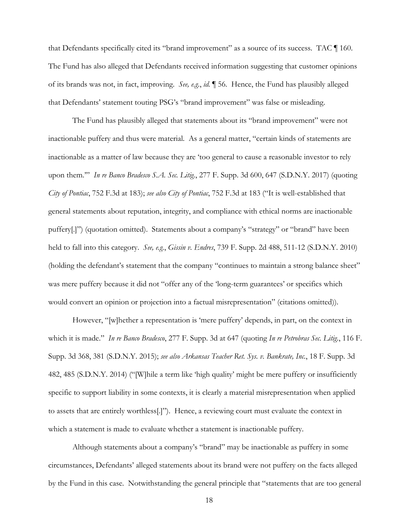that Defendants specifically cited its "brand improvement" as a source of its success. TAC ¶ 160. The Fund has also alleged that Defendants received information suggesting that customer opinions of its brands was not, in fact, improving. *See, e.g.*, *id.* ¶ 56. Hence, the Fund has plausibly alleged that Defendants' statement touting PSG's "brand improvement" was false or misleading.

The Fund has plausibly alleged that statements about its "brand improvement" were not inactionable puffery and thus were material. As a general matter, "certain kinds of statements are inactionable as a matter of law because they are 'too general to cause a reasonable investor to rely upon them.'" *In re Banco Bradesco S.A. Sec. Litig.*, 277 F. Supp. 3d 600, 647 (S.D.N.Y. 2017) (quoting *City of Pontiac*, 752 F.3d at 183); *see also City of Pontiac*, 752 F.3d at 183 ("It is well-established that general statements about reputation, integrity, and compliance with ethical norms are inactionable puffery[.]") (quotation omitted). Statements about a company's "strategy" or "brand" have been held to fall into this category. *See, e.g.*, *Gissin v. Endres*, 739 F. Supp. 2d 488, 511-12 (S.D.N.Y. 2010) (holding the defendant's statement that the company "continues to maintain a strong balance sheet" was mere puffery because it did not "offer any of the 'long-term guarantees' or specifics which would convert an opinion or projection into a factual misrepresentation" (citations omitted)).

However, "[w]hether a representation is 'mere puffery' depends, in part, on the context in which it is made." *In re Banco Bradesco*, 277 F. Supp. 3d at 647 (quoting *In re Petrobras Sec. Litig.*, 116 F. Supp. 3d 368, 381 (S.D.N.Y. 2015); *see also Arkansas Teacher Ret. Sys. v. Bankrate, Inc.*, 18 F. Supp. 3d 482, 485 (S.D.N.Y. 2014) ("[W]hile a term like 'high quality' might be mere puffery or insufficiently specific to support liability in some contexts, it is clearly a material misrepresentation when applied to assets that are entirely worthless[.]"). Hence, a reviewing court must evaluate the context in which a statement is made to evaluate whether a statement is inactionable puffery.

Although statements about a company's "brand" may be inactionable as puffery in some circumstances, Defendants' alleged statements about its brand were not puffery on the facts alleged by the Fund in this case. Notwithstanding the general principle that "statements that are too general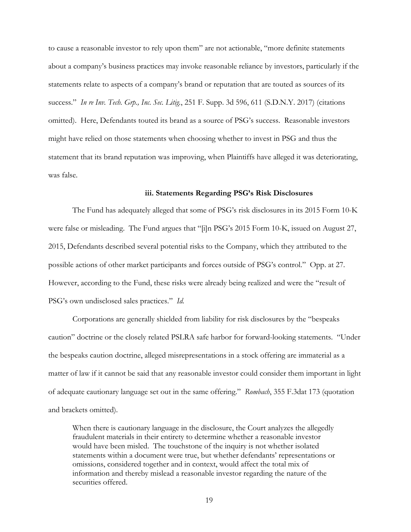to cause a reasonable investor to rely upon them" are not actionable, "more definite statements about a company's business practices may invoke reasonable reliance by investors, particularly if the statements relate to aspects of a company's brand or reputation that are touted as sources of its success." *In re Inv. Tech. Grp., Inc. Sec. Litig.*, 251 F. Supp. 3d 596, 611 (S.D.N.Y. 2017) (citations omitted). Here, Defendants touted its brand as a source of PSG's success. Reasonable investors might have relied on those statements when choosing whether to invest in PSG and thus the statement that its brand reputation was improving, when Plaintiffs have alleged it was deteriorating, was false.

#### **iii. Statements Regarding PSG's Risk Disclosures**

The Fund has adequately alleged that some of PSG's risk disclosures in its 2015 Form 10-K were false or misleading. The Fund argues that "[i]n PSG's 2015 Form 10-K, issued on August 27, 2015, Defendants described several potential risks to the Company, which they attributed to the possible actions of other market participants and forces outside of PSG's control." Opp. at 27. However, according to the Fund, these risks were already being realized and were the "result of PSG's own undisclosed sales practices." *Id.*

Corporations are generally shielded from liability for risk disclosures by the "bespeaks caution" doctrine or the closely related PSLRA safe harbor for forward-looking statements. "Under the bespeaks caution doctrine, alleged misrepresentations in a stock offering are immaterial as a matter of law if it cannot be said that any reasonable investor could consider them important in light of adequate cautionary language set out in the same offering." *Rombach*, 355 F.3dat 173 (quotation and brackets omitted).

When there is cautionary language in the disclosure, the Court analyzes the allegedly fraudulent materials in their entirety to determine whether a reasonable investor would have been misled. The touchstone of the inquiry is not whether isolated statements within a document were true, but whether defendants' representations or omissions, considered together and in context, would affect the total mix of information and thereby mislead a reasonable investor regarding the nature of the securities offered.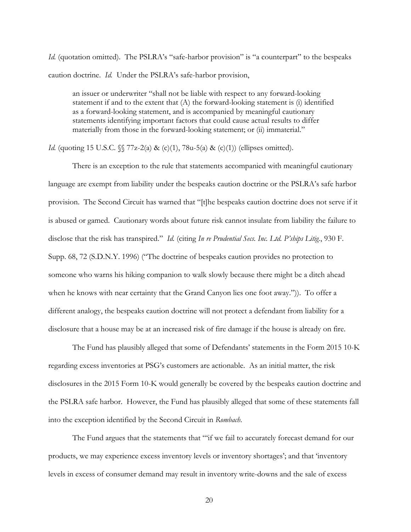*Id.* (quotation omitted). The PSLRA's "safe-harbor provision" is "a counterpart" to the bespeaks caution doctrine. *Id.* Under the PSLRA's safe-harbor provision,

an issuer or underwriter "shall not be liable with respect to any forward-looking statement if and to the extent that (A) the forward-looking statement is (i) identified as a forward-looking statement, and is accompanied by meaningful cautionary statements identifying important factors that could cause actual results to differ materially from those in the forward-looking statement; or (ii) immaterial."

*Id.* (quoting 15 U.S.C.  $\sqrt{\}$  77z-2(a) & (c)(1), 78u-5(a) & (c)(1)) (ellipses omitted).

There is an exception to the rule that statements accompanied with meaningful cautionary language are exempt from liability under the bespeaks caution doctrine or the PSLRA's safe harbor provision. The Second Circuit has warned that "[t]he bespeaks caution doctrine does not serve if it is abused or gamed. Cautionary words about future risk cannot insulate from liability the failure to disclose that the risk has transpired." *Id.* (citing *In re Prudential Secs. Inc. Ltd. P'ships Litig.*, 930 F. Supp. 68, 72 (S.D.N.Y. 1996) ("The doctrine of bespeaks caution provides no protection to someone who warns his hiking companion to walk slowly because there might be a ditch ahead when he knows with near certainty that the Grand Canyon lies one foot away.")). To offer a different analogy, the bespeaks caution doctrine will not protect a defendant from liability for a disclosure that a house may be at an increased risk of fire damage if the house is already on fire.

The Fund has plausibly alleged that some of Defendants' statements in the Form 2015 10-K regarding excess inventories at PSG's customers are actionable. As an initial matter, the risk disclosures in the 2015 Form 10-K would generally be covered by the bespeaks caution doctrine and the PSLRA safe harbor. However, the Fund has plausibly alleged that some of these statements fall into the exception identified by the Second Circuit in *Rombach*.

The Fund argues that the statements that "'if we fail to accurately forecast demand for our products, we may experience excess inventory levels or inventory shortages'; and that 'inventory levels in excess of consumer demand may result in inventory write-downs and the sale of excess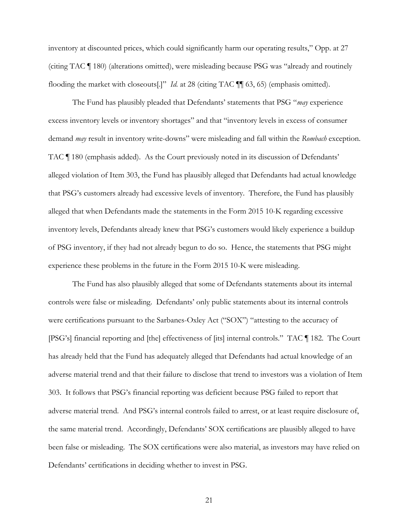inventory at discounted prices, which could significantly harm our operating results," Opp. at 27 (citing TAC ¶ 180) (alterations omitted), were misleading because PSG was "already and routinely flooding the market with closeouts[.]" *Id.* at 28 (citing TAC ¶¶ 63, 65) (emphasis omitted).

The Fund has plausibly pleaded that Defendants' statements that PSG "*may* experience excess inventory levels or inventory shortages" and that "inventory levels in excess of consumer demand *may* result in inventory write-downs" were misleading and fall within the *Rombach* exception. TAC ¶ 180 (emphasis added). As the Court previously noted in its discussion of Defendants' alleged violation of Item 303, the Fund has plausibly alleged that Defendants had actual knowledge that PSG's customers already had excessive levels of inventory. Therefore, the Fund has plausibly alleged that when Defendants made the statements in the Form 2015 10-K regarding excessive inventory levels, Defendants already knew that PSG's customers would likely experience a buildup of PSG inventory, if they had not already begun to do so. Hence, the statements that PSG might experience these problems in the future in the Form 2015 10-K were misleading.

The Fund has also plausibly alleged that some of Defendants statements about its internal controls were false or misleading. Defendants' only public statements about its internal controls were certifications pursuant to the Sarbanes-Oxley Act ("SOX") "attesting to the accuracy of [PSG's] financial reporting and [the] effectiveness of [its] internal controls." TAC ¶ 182. The Court has already held that the Fund has adequately alleged that Defendants had actual knowledge of an adverse material trend and that their failure to disclose that trend to investors was a violation of Item 303. It follows that PSG's financial reporting was deficient because PSG failed to report that adverse material trend. And PSG's internal controls failed to arrest, or at least require disclosure of, the same material trend. Accordingly, Defendants' SOX certifications are plausibly alleged to have been false or misleading. The SOX certifications were also material, as investors may have relied on Defendants' certifications in deciding whether to invest in PSG.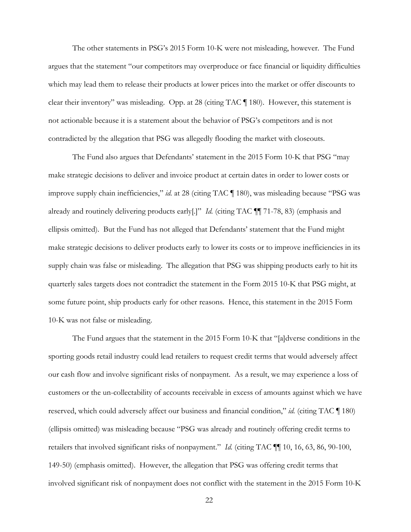The other statements in PSG's 2015 Form 10-K were not misleading, however. The Fund argues that the statement "our competitors may overproduce or face financial or liquidity difficulties which may lead them to release their products at lower prices into the market or offer discounts to clear their inventory" was misleading. Opp. at 28 (citing TAC ¶ 180). However, this statement is not actionable because it is a statement about the behavior of PSG's competitors and is not contradicted by the allegation that PSG was allegedly flooding the market with closeouts.

The Fund also argues that Defendants' statement in the 2015 Form 10-K that PSG "may make strategic decisions to deliver and invoice product at certain dates in order to lower costs or improve supply chain inefficiencies," *id.* at 28 (citing TAC ¶ 180), was misleading because "PSG was already and routinely delivering products early[.]" *Id.* (citing TAC ¶¶ 71-78, 83) (emphasis and ellipsis omitted). But the Fund has not alleged that Defendants' statement that the Fund might make strategic decisions to deliver products early to lower its costs or to improve inefficiencies in its supply chain was false or misleading. The allegation that PSG was shipping products early to hit its quarterly sales targets does not contradict the statement in the Form 2015 10-K that PSG might, at some future point, ship products early for other reasons. Hence, this statement in the 2015 Form 10-K was not false or misleading.

The Fund argues that the statement in the 2015 Form 10-K that "[a]dverse conditions in the sporting goods retail industry could lead retailers to request credit terms that would adversely affect our cash flow and involve significant risks of nonpayment. As a result, we may experience a loss of customers or the un-collectability of accounts receivable in excess of amounts against which we have reserved, which could adversely affect our business and financial condition," *id.* (citing TAC ¶ 180) (ellipsis omitted) was misleading because "PSG was already and routinely offering credit terms to retailers that involved significant risks of nonpayment." *Id.* (citing TAC ¶¶ 10, 16, 63, 86, 90-100, 149-50) (emphasis omitted). However, the allegation that PSG was offering credit terms that involved significant risk of nonpayment does not conflict with the statement in the 2015 Form 10-K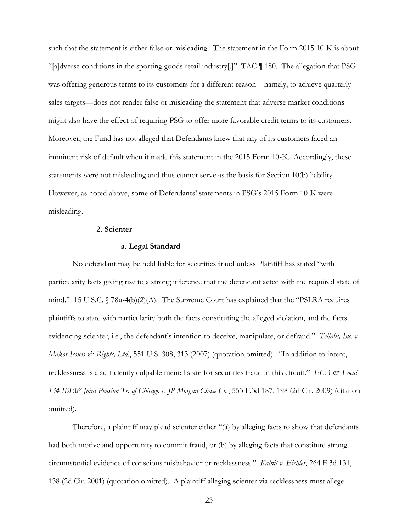such that the statement is either false or misleading. The statement in the Form 2015 10-K is about "[a]dverse conditions in the sporting goods retail industry[.]" TAC ¶ 180. The allegation that PSG was offering generous terms to its customers for a different reason—namely, to achieve quarterly sales targets—does not render false or misleading the statement that adverse market conditions might also have the effect of requiring PSG to offer more favorable credit terms to its customers. Moreover, the Fund has not alleged that Defendants knew that any of its customers faced an imminent risk of default when it made this statement in the 2015 Form 10-K. Accordingly, these statements were not misleading and thus cannot serve as the basis for Section 10(b) liability. However, as noted above, some of Defendants' statements in PSG's 2015 Form 10-K were misleading.

## **2. Scienter**

### **a. Legal Standard**

No defendant may be held liable for securities fraud unless Plaintiff has stated "with particularity facts giving rise to a strong inference that the defendant acted with the required state of mind." 15 U.S.C.  $\sqrt{78u-4(b)(2)}$  (A). The Supreme Court has explained that the "PSLRA requires plaintiffs to state with particularity both the facts constituting the alleged violation, and the facts evidencing scienter, i.e., the defendant's intention to deceive, manipulate, or defraud." *Tellabs, Inc. v. Makor Issues & Rights, Ltd.*, 551 U.S. 308, 313 (2007) (quotation omitted). "In addition to intent, recklessness is a sufficiently culpable mental state for securities fraud in this circuit." *ECA*  $\mathcal{Q}$  *Local 134 IBEW Joint Pension Tr. of Chicago v. JP Morgan Chase Co.*, 553 F.3d 187, 198 (2d Cir. 2009) (citation omitted).

Therefore, a plaintiff may plead scienter either "(a) by alleging facts to show that defendants had both motive and opportunity to commit fraud, or (b) by alleging facts that constitute strong circumstantial evidence of conscious misbehavior or recklessness." *Kalnit v. Eichler*, 264 F.3d 131, 138 (2d Cir. 2001) (quotation omitted). A plaintiff alleging scienter via recklessness must allege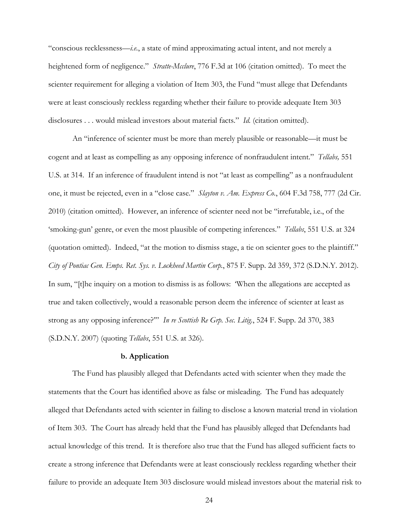"conscious recklessness—*i.e.*, a state of mind approximating actual intent, and not merely a heightened form of negligence." *Stratte-Mcclure*, 776 F.3d at 106 (citation omitted). To meet the scienter requirement for alleging a violation of Item 303, the Fund "must allege that Defendants were at least consciously reckless regarding whether their failure to provide adequate Item 303 disclosures . . . would mislead investors about material facts." *Id.* (citation omitted).

An "inference of scienter must be more than merely plausible or reasonable—it must be cogent and at least as compelling as any opposing inference of nonfraudulent intent." *Tellabs,* 551 U.S. at 314. If an inference of fraudulent intend is not "at least as compelling" as a nonfraudulent one, it must be rejected, even in a "close case." *Slayton v. Am. Express Co.*, 604 F.3d 758, 777 (2d Cir. 2010) (citation omitted). However, an inference of scienter need not be "irrefutable, i.e., of the 'smoking-gun' genre, or even the most plausible of competing inferences." *Tellabs*, 551 U.S. at 324 (quotation omitted). Indeed, "at the motion to dismiss stage, a tie on scienter goes to the plaintiff." *City of Pontiac Gen. Emps. Ret. Sys. v. Lockheed Martin Corp.*, 875 F. Supp. 2d 359, 372 (S.D.N.Y. 2012). In sum, "[t]he inquiry on a motion to dismiss is as follows: 'When the allegations are accepted as true and taken collectively, would a reasonable person deem the inference of scienter at least as strong as any opposing inference?'" *In re Scottish Re Grp. Sec. Litig.*, 524 F. Supp. 2d 370, 383 (S.D.N.Y. 2007) (quoting *Tellabs*, 551 U.S. at 326).

### **b. Application**

The Fund has plausibly alleged that Defendants acted with scienter when they made the statements that the Court has identified above as false or misleading. The Fund has adequately alleged that Defendants acted with scienter in failing to disclose a known material trend in violation of Item 303. The Court has already held that the Fund has plausibly alleged that Defendants had actual knowledge of this trend. It is therefore also true that the Fund has alleged sufficient facts to create a strong inference that Defendants were at least consciously reckless regarding whether their failure to provide an adequate Item 303 disclosure would mislead investors about the material risk to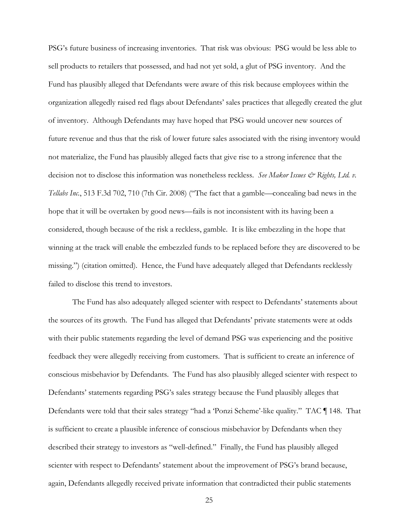PSG's future business of increasing inventories. That risk was obvious: PSG would be less able to sell products to retailers that possessed, and had not yet sold, a glut of PSG inventory. And the Fund has plausibly alleged that Defendants were aware of this risk because employees within the organization allegedly raised red flags about Defendants' sales practices that allegedly created the glut of inventory. Although Defendants may have hoped that PSG would uncover new sources of future revenue and thus that the risk of lower future sales associated with the rising inventory would not materialize, the Fund has plausibly alleged facts that give rise to a strong inference that the decision not to disclose this information was nonetheless reckless. *See Makor Issues & Rights, Ltd. v. Tellabs Inc.*, 513 F.3d 702, 710 (7th Cir. 2008) ("The fact that a gamble—concealing bad news in the hope that it will be overtaken by good news—fails is not inconsistent with its having been a considered, though because of the risk a reckless, gamble. It is like embezzling in the hope that winning at the track will enable the embezzled funds to be replaced before they are discovered to be missing.") (citation omitted). Hence, the Fund have adequately alleged that Defendants recklessly failed to disclose this trend to investors.

The Fund has also adequately alleged scienter with respect to Defendants' statements about the sources of its growth. The Fund has alleged that Defendants' private statements were at odds with their public statements regarding the level of demand PSG was experiencing and the positive feedback they were allegedly receiving from customers. That is sufficient to create an inference of conscious misbehavior by Defendants. The Fund has also plausibly alleged scienter with respect to Defendants' statements regarding PSG's sales strategy because the Fund plausibly alleges that Defendants were told that their sales strategy "had a 'Ponzi Scheme'-like quality." TAC ¶ 148. That is sufficient to create a plausible inference of conscious misbehavior by Defendants when they described their strategy to investors as "well-defined." Finally, the Fund has plausibly alleged scienter with respect to Defendants' statement about the improvement of PSG's brand because, again, Defendants allegedly received private information that contradicted their public statements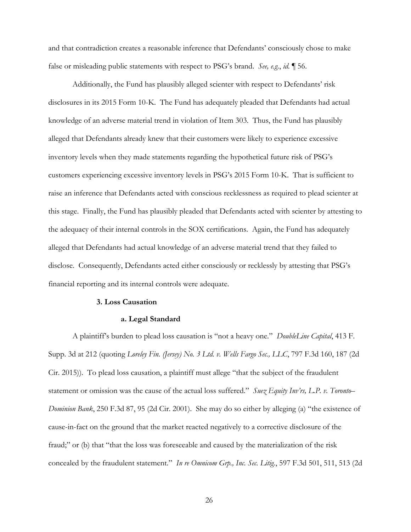and that contradiction creates a reasonable inference that Defendants' consciously chose to make false or misleading public statements with respect to PSG's brand. *See, e.g.*, *id.* ¶ 56.

Additionally, the Fund has plausibly alleged scienter with respect to Defendants' risk disclosures in its 2015 Form 10-K. The Fund has adequately pleaded that Defendants had actual knowledge of an adverse material trend in violation of Item 303. Thus, the Fund has plausibly alleged that Defendants already knew that their customers were likely to experience excessive inventory levels when they made statements regarding the hypothetical future risk of PSG's customers experiencing excessive inventory levels in PSG's 2015 Form 10-K. That is sufficient to raise an inference that Defendants acted with conscious recklessness as required to plead scienter at this stage. Finally, the Fund has plausibly pleaded that Defendants acted with scienter by attesting to the adequacy of their internal controls in the SOX certifications. Again, the Fund has adequately alleged that Defendants had actual knowledge of an adverse material trend that they failed to disclose. Consequently, Defendants acted either consciously or recklessly by attesting that PSG's financial reporting and its internal controls were adequate.

#### **3. Loss Causation**

#### **a. Legal Standard**

A plaintiff's burden to plead loss causation is "not a heavy one." *DoubleLine Capital*, 413 F. Supp. 3d at 212 (quoting *Loreley Fin. (Jersey) No. 3 Ltd. v. Wells Fargo Sec., LLC*, 797 F.3d 160, 187 (2d Cir. 2015)). To plead loss causation, a plaintiff must allege "that the subject of the fraudulent statement or omission was the cause of the actual loss suffered." *Suez Equity Inv'rs, L.P. v. Toronto– Dominion Bank*, 250 F.3d 87, 95 (2d Cir. 2001). She may do so either by alleging (a) "the existence of cause-in-fact on the ground that the market reacted negatively to a corrective disclosure of the fraud;" or (b) that "that the loss was foreseeable and caused by the materialization of the risk concealed by the fraudulent statement." *In re Omnicom Grp., Inc. Sec. Litig.*, 597 F.3d 501, 511, 513 (2d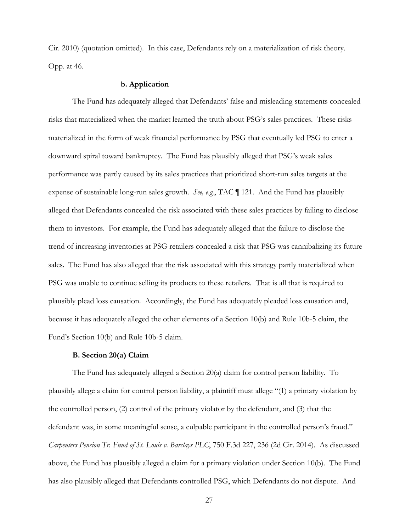Cir. 2010) (quotation omitted). In this case, Defendants rely on a materialization of risk theory. Opp. at 46.

### **b. Application**

The Fund has adequately alleged that Defendants' false and misleading statements concealed risks that materialized when the market learned the truth about PSG's sales practices. These risks materialized in the form of weak financial performance by PSG that eventually led PSG to enter a downward spiral toward bankruptcy. The Fund has plausibly alleged that PSG's weak sales performance was partly caused by its sales practices that prioritized short-run sales targets at the expense of sustainable long-run sales growth. *See, e.g.*, TAC ¶ 121. And the Fund has plausibly alleged that Defendants concealed the risk associated with these sales practices by failing to disclose them to investors. For example, the Fund has adequately alleged that the failure to disclose the trend of increasing inventories at PSG retailers concealed a risk that PSG was cannibalizing its future sales. The Fund has also alleged that the risk associated with this strategy partly materialized when PSG was unable to continue selling its products to these retailers. That is all that is required to plausibly plead loss causation. Accordingly, the Fund has adequately pleaded loss causation and, because it has adequately alleged the other elements of a Section 10(b) and Rule 10b-5 claim, the Fund's Section 10(b) and Rule 10b-5 claim.

## **B. Section 20(a) Claim**

The Fund has adequately alleged a Section 20(a) claim for control person liability. To plausibly allege a claim for control person liability, a plaintiff must allege "(1) a primary violation by the controlled person, (2) control of the primary violator by the defendant, and (3) that the defendant was, in some meaningful sense, a culpable participant in the controlled person's fraud." *Carpenters Pension Tr. Fund of St. Louis v. Barclays PLC*, 750 F.3d 227, 236 (2d Cir. 2014). As discussed above, the Fund has plausibly alleged a claim for a primary violation under Section 10(b). The Fund has also plausibly alleged that Defendants controlled PSG, which Defendants do not dispute. And